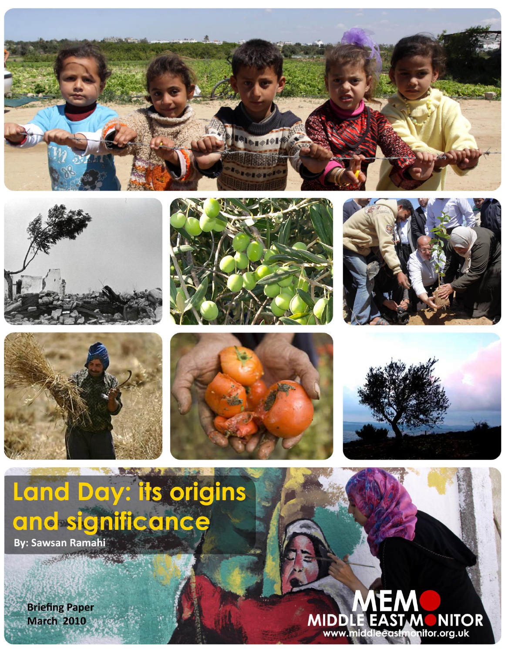













**MEM** 

**NITOR** 

nitor.org.uk

**MIDDLE EAST M** 

www.middleeastmc

# Land Day: its origins and significance

**By: Sawsan Ramahi CONFIDENTIAL** 

**Briefing Paper March 2010**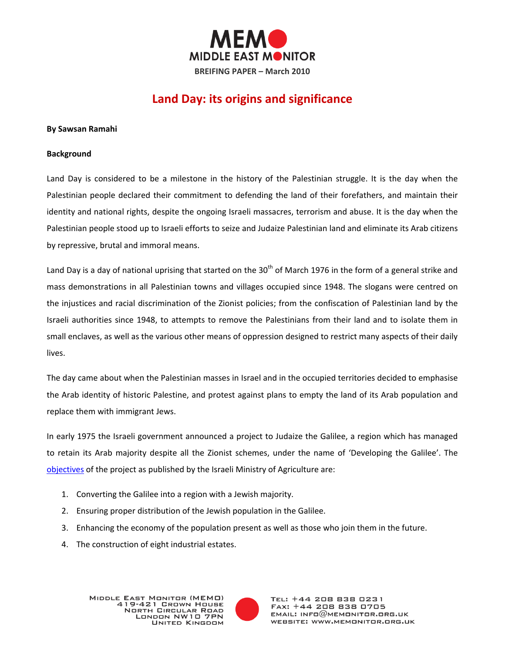

# **Land Day: its origins and significance**

#### **By Sawsan Ramahi**

#### **Background**

Land Day is considered to be a milestone in the history of the Palestinian struggle. It is the day when the Palestinian people declared their commitment to defending the land of their forefathers, and maintain their identity and national rights, despite the ongoing Israeli massacres, terrorism and abuse. It is the day when the Palestinian people stood up to Israeli efforts to seize and Judaize Palestinian land and eliminate its Arab citizens by repressive, brutal and immoral means.

Land Day is a day of national uprising that started on the  $30<sup>th</sup>$  of March 1976 in the form of a general strike and mass demonstrations in all Palestinian towns and villages occupied since 1948. The slogans were centred on the injustices and racial discrimination of the Zionist policies; from the confiscation of Palestinian land by the Israeli authorities since 1948, to attempts to remove the Palestinians from their land and to isolate them in small enclaves, as well as the various other means of oppression designed to restrict many aspects of their daily lives.

The day came about when the Palestinian masses in Israel and in the occupied territories decided to emphasise the Arab identity of historic Palestine, and protest against plans to empty the land of its Arab population and replace them with immigrant Jews.

In early 1975 the Israeli government announced a project to Judaize the Galilee, a region which has managed to retain its Arab majority despite all the Zionist schemes, under the name of 'Developing the Galilee'. The [objectives](http://www.palestine-info.com/arabic/palestoday/readers/articles/3adelhashem/30_3_02.htm) of the project as published by the Israeli Ministry of Agriculture are:

- 1. Converting the Galilee into a region with a Jewish majority.
- 2. Ensuring proper distribution of the Jewish population in the Galilee.
- 3. Enhancing the economy of the population present as well as those who join them in the future.
- 4. The construction of eight industrial estates.



TEL: +44 208 838 0231 FAX: +44 208 838 0705  $EMAIL: INFO@MEMONITOR.BRS.UK$ WEBSITE: WWW.MEMONITOR.ORG.UK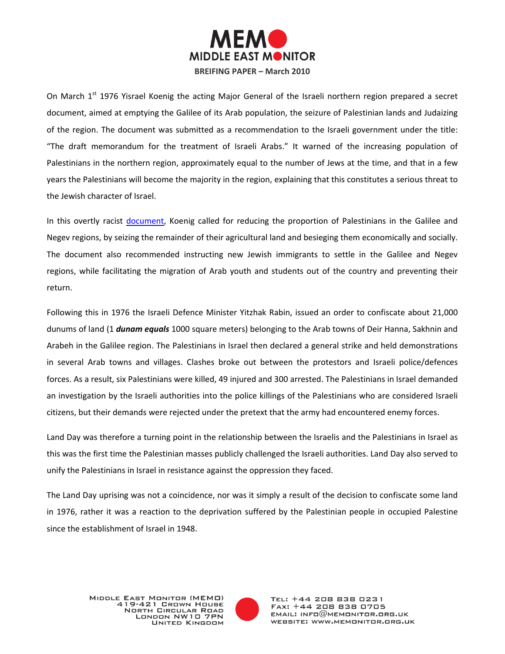

On March 1<sup>st</sup> 1976 Yisrael Koenig the acting Major General of the Israeli northern region prepared a secret document, aimed at emptying the Galilee of its Arab population, the seizure of Palestinian lands and Judaizing of the region. The document was submitted as a recommendation to the Israeli government under the title: "The draft memorandum for the treatment of Israeli Arabs." It warned of the increasing population of Palestinians in the northern region, approximately equal to the number of Jews at the time, and that in a few years the Palestinians will become the majority in the region, explaining that this constitutes a serious threat to the Jewish character of Israel.

In this overtly racist [document,](http://ar.wikipedia.org/wiki/%D9%88%D8%AB%D9%8A%D9%82%D8%A9_%D9%83%D9%8A%D9%86%D9%86%D8%BA) Koenig called for reducing the proportion of Palestinians in the Galilee and Negev regions, by seizing the remainder of their agricultural land and besieging them economically and socially. The document also recommended instructing new Jewish immigrants to settle in the Galilee and Negev regions, while facilitating the migration of Arab youth and students out of the country and preventing their return.

Following this in 1976 the Israeli Defence Minister Yitzhak Rabin, issued an order to confiscate about 21,000 dunums of land (1 *dunam equals* 1000 square meters) belonging to the Arab towns of Deir Hanna, Sakhnin and Arabeh in the Galilee region. The Palestinians in Israel then declared a general strike and held demonstrations in several Arab towns and villages. Clashes broke out between the protestors and Israeli police/defences forces. As a result, six Palestinians were killed, 49 injured and 300 arrested. The Palestinians in Israel demanded an investigation by the Israeli authorities into the police killings of the Palestinians who are considered Israeli citizens, but their demands were rejected under the pretext that the army had encountered enemy forces.

Land Day was therefore a turning point in the relationship between the Israelis and the Palestinians in Israel as this was the first time the Palestinian masses publicly challenged the Israeli authorities. Land Day also served to unify the Palestinians in Israel in resistance against the oppression they faced.

The Land Day uprising was not a coincidence, nor was it simply a result of the decision to confiscate some land in 1976, rather it was a reaction to the deprivation suffered by the Palestinian people in occupied Palestine since the establishment of Israel in 1948.

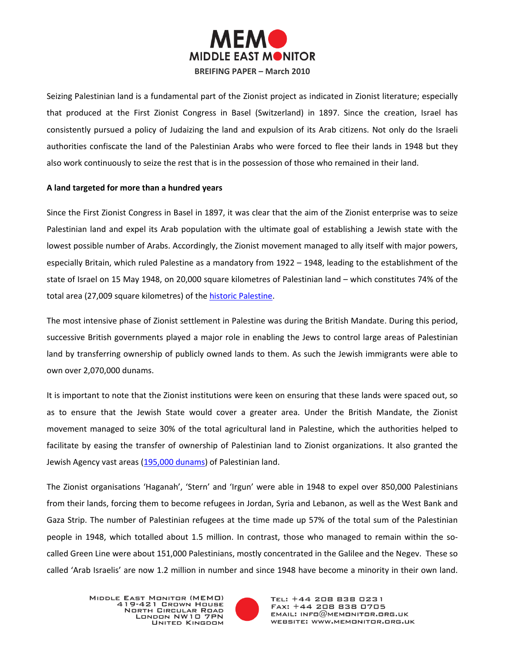

Seizing Palestinian land is a fundamental part of the Zionist project as indicated in Zionist literature; especially that produced at the First Zionist Congress in Basel (Switzerland) in 1897. Since the creation, Israel has consistently pursued a policy of Judaizing the land and expulsion of its Arab citizens. Not only do the Israeli authorities confiscate the land of the Palestinian Arabs who were forced to flee their lands in 1948 but they also work continuously to seize the rest that is in the possession of those who remained in their land.

## **A land targeted for more than a hundred years**

Since the First Zionist Congress in Basel in 1897, it was clear that the aim of the Zionist enterprise was to seize Palestinian land and expel its Arab population with the ultimate goal of establishing a Jewish state with the lowest possible number of Arabs. Accordingly, the Zionist movement managed to ally itself with major powers, especially Britain, which ruled Palestine as a mandatory from 1922 – 1948, leading to the establishment of the state of Israel on 15 May 1948, on 20,000 square kilometres of Palestinian land – which constitutes 74% of the total area (27,009 square kilometres) of the [historic Palestine.](http://www.palestineremembered.com/GeoPoints/Rantis_1511/Article_9187.html)

The most intensive phase of Zionist settlement in Palestine was during the British Mandate. During this period, successive British governments played a major role in enabling the Jews to control large areas of Palestinian land by transferring ownership of publicly owned lands to them. As such the Jewish immigrants were able to own over 2,070,000 dunams.

It is important to note that the Zionist institutions were keen on ensuring that these lands were spaced out, so as to ensure that the Jewish State would cover a greater area. Under the British Mandate, the Zionist movement managed to seize 30% of the total agricultural land in Palestine, which the authorities helped to facilitate by easing the transfer of ownership of Palestinian land to Zionist organizations. It also granted the Jewish Agency vast areas [\(195,000 dunams\)](http://thawra.alwehda.gov.sy/_print_veiw.asp?FileName=69532392920090614213139) of Palestinian land.

The Zionist organisations 'Haganah', 'Stern' and 'Irgun' were able in 1948 to expel over 850,000 Palestinians from their lands, forcing them to become refugees in Jordan, Syria and Lebanon, as well as the West Bank and Gaza Strip. The number of Palestinian refugees at the time made up 57% of the total sum of the Palestinian people in 1948, which totalled about 1.5 million. In contrast, those who managed to remain within the socalled Green Line were about 151,000 Palestinians, mostly concentrated in the Galilee and the Negev. These so called 'Arab Israelis' are now 1.2 million in number and since 1948 have become a minority in their own land.

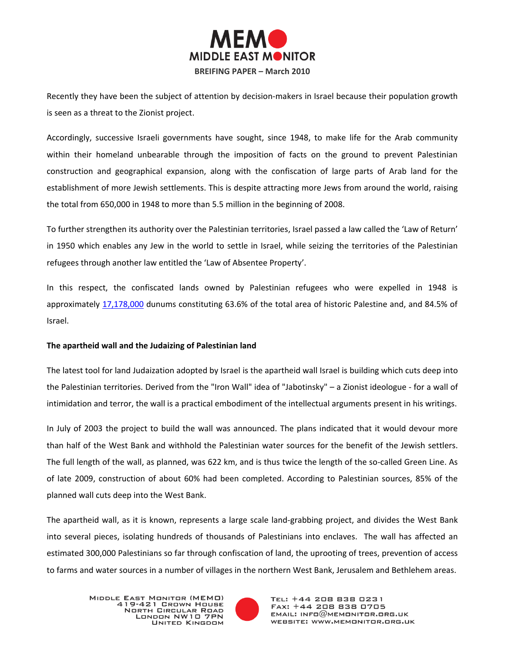

Recently they have been the subject of attention by decision-makers in Israel because their population growth is seen as a threat to the Zionist project.

Accordingly, successive Israeli governments have sought, since 1948, to make life for the Arab community within their homeland unbearable through the imposition of facts on the ground to prevent Palestinian construction and geographical expansion, along with the confiscation of large parts of Arab land for the establishment of more Jewish settlements. This is despite attracting more Jews from around the world, raising the total from 650,000 in 1948 to more than 5.5 million in the beginning of 2008.

To further strengthen its authority over the Palestinian territories, Israel passed a law called the 'Law of Return' in 1950 which enables any Jew in the world to settle in Israel, while seizing the territories of the Palestinian refugees through another law entitled the 'Law of Absentee Property'.

In this respect, the confiscated lands owned by Palestinian refugees who were expelled in 1948 is approximately [17,178,000](http://www.palestineremembered.com/GeoPoints/Rantis_1511/Article_9187.html) dunums constituting 63.6% of the total area of historic Palestine and, and 84.5% of Israel.

## **The apartheid wall and the Judaizing of Palestinian land**

The latest tool for land Judaization adopted by Israel is the apartheid wall Israel is building which cuts deep into the Palestinian territories. Derived from the "Iron Wall" idea of "Jabotinsky" – a Zionist ideologue - for a wall of intimidation and terror, the wall is a practical embodiment of the intellectual arguments present in his writings.

In July of 2003 the project to build the wall was announced. The plans indicated that it would devour more than half of the West Bank and withhold the Palestinian water sources for the benefit of the Jewish settlers. The full length of the wall, as planned, was 622 km, and is thus twice the length of the so-called Green Line. As of late 2009, construction of about 60% had been completed. According to Palestinian sources, 85% of the planned wall cuts deep into the West Bank.

The apartheid wall, as it is known, represents a large scale land-grabbing project, and divides the West Bank into several pieces, isolating hundreds of thousands of Palestinians into enclaves. The wall has affected an estimated 300,000 Palestinians so far through confiscation of land, the uprooting of trees, prevention of access to farms and water sources in a number of villages in the northern West Bank, Jerusalem and Bethlehem areas.

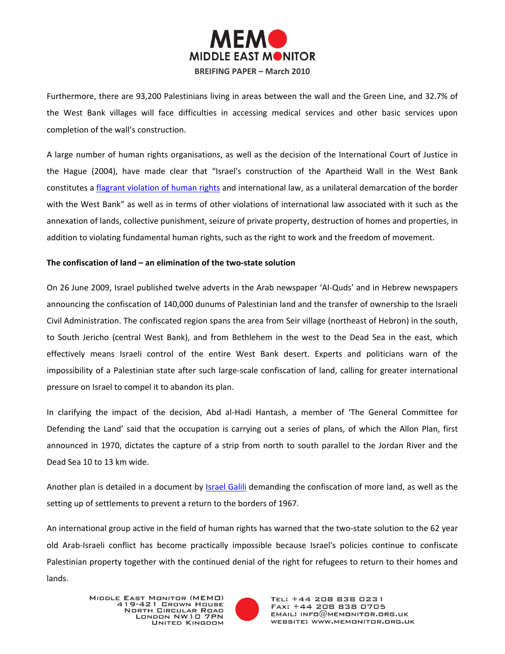

Furthermore, there are 93,200 Palestinians living in areas between the wall and the Green Line, and 32.7% of the West Bank villages will face difficulties in accessing medical services and other basic services upon completion of the wall's construction.

A large number of human rights organisations, as well as the decision of the International Court of Justice in the Hague (2004), have made clear that "Israel's construction of the Apartheid Wall in the West Bank constitutes a [flagrant violation of human rights](http://www.palestineremembered.com/GeoPoints/Rantis_1511/Article_9187.html) and international law, as a unilateral demarcation of the border with the West Bank" as well as in terms of other violations of international law associated with it such as the annexation of lands, collective punishment, seizure of private property, destruction of homes and properties, in addition to violating fundamental human rights, such as the right to work and the freedom of movement.

## **The confiscation of land – an elimination of the two-state solution**

On 26 June 2009, Israel published twelve adverts in the Arab newspaper 'Al-Quds' and in Hebrew newspapers announcing the confiscation of 140,000 dunums of Palestinian land and the transfer of ownership to the Israeli Civil Administration. The confiscated region spans the area from Seir village (northeast of Hebron) in the south, to South Jericho (central West Bank), and from Bethlehem in the west to the Dead Sea in the east, which effectively means Israeli control of the entire West Bank desert. Experts and politicians warn of the impossibility of a Palestinian state after such large-scale confiscation of land, calling for greater international pressure on Israel to compel it to abandon its plan.

In clarifying the impact of the decision, Abd al-Hadi Hantash, a member of 'The General Committee for Defending the Land' said that the occupation is carrying out a series of plans, of which the Allon Plan, first announced in 1970, dictates the capture of a strip from north to south parallel to the Jordan River and the Dead Sea 10 to 13 km wide.

Another plan is detailed in a document by [Israel Galili](http://www.aljazeera.net/NR/exeres/F6AEEFCA-DCFD-44A0-A81E-5047ACA95D1D.htm) demanding the confiscation of more land, as well as the setting up of settlements to prevent a return to the borders of 1967.

An international group active in the field of human rights has warned that the two-state solution to the 62 year old Arab-Israeli conflict has become practically impossible because Israel's policies continue to confiscate Palestinian property together with the continued denial of the right for refugees to return to their homes and lands.

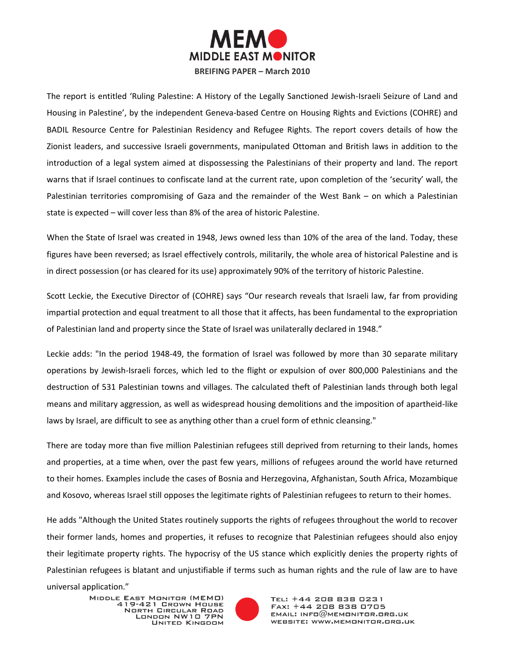

The report is entitled 'Ruling Palestine: A History of the Legally Sanctioned Jewish-Israeli Seizure of Land and Housing in Palestine', by the independent Geneva-based Centre on Housing Rights and Evictions (COHRE) and BADIL Resource Centre for Palestinian Residency and Refugee Rights. The report covers details of how the Zionist leaders, and successive Israeli governments, manipulated Ottoman and British laws in addition to the introduction of a legal system aimed at dispossessing the Palestinians of their property and land. The report warns that if Israel continues to confiscate land at the current rate, upon completion of the 'security' wall, the Palestinian territories compromising of Gaza and the remainder of the West Bank – on which a Palestinian state is expected – will cover less than 8% of the area of historic Palestine.

When the State of Israel was created in 1948, Jews owned less than 10% of the area of the land. Today, these figures have been reversed; as Israel effectively controls, militarily, the whole area of historical Palestine and is in direct possession (or has cleared for its use) approximately 90% of the territory of historic Palestine.

Scott Leckie, the Executive Director of (COHRE) says "Our research reveals that Israeli law, far from providing impartial protection and equal treatment to all those that it affects, has been fundamental to the expropriation of Palestinian land and property since the State of Israel was unilaterally declared in 1948."

Leckie adds: "In the period 1948-49, the formation of Israel was followed by more than 30 separate military operations by Jewish-Israeli forces, which led to the flight or expulsion of over 800,000 Palestinians and the destruction of 531 Palestinian towns and villages. The calculated theft of Palestinian lands through both legal means and military aggression, as well as widespread housing demolitions and the imposition of apartheid-like laws by Israel, are difficult to see as anything other than a cruel form of ethnic cleansing."

There are today more than five million Palestinian refugees still deprived from returning to their lands, homes and properties, at a time when, over the past few years, millions of refugees around the world have returned to their homes. Examples include the cases of Bosnia and Herzegovina, Afghanistan, South Africa, Mozambique and Kosovo, whereas Israel still opposes the legitimate rights of Palestinian refugees to return to their homes.

He adds "Although the United States routinely supports the rights of refugees throughout the world to recover their former lands, homes and properties, it refuses to recognize that Palestinian refugees should also enjoy their legitimate property rights. The hypocrisy of the US stance which explicitly denies the property rights of Palestinian refugees is blatant and unjustifiable if terms such as human rights and the rule of law are to have

universal application."